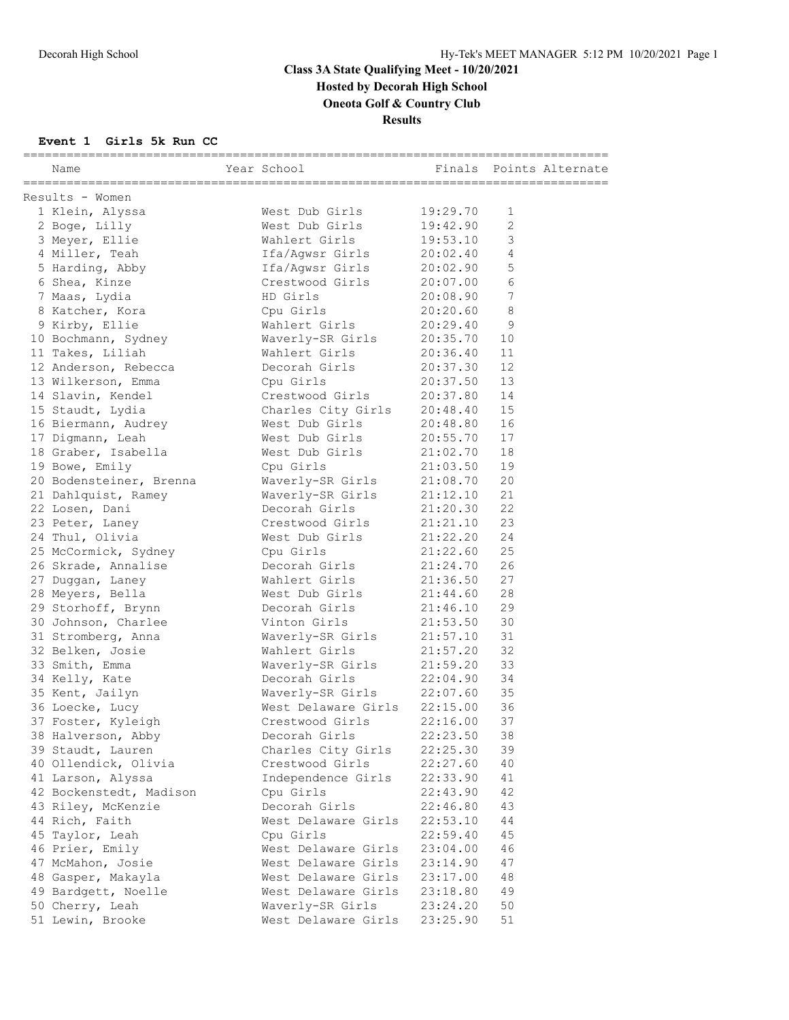## **Class 3A State Qualifying Meet - 10/20/2021 Hosted by Decorah High School Oneota Golf & Country Club**

**Results**

#### **Event 1 Girls 5k Run CC**

| Name                    | Year School                          |          | Finals Points Alternate |
|-------------------------|--------------------------------------|----------|-------------------------|
| Results - Women         |                                      |          |                         |
| 1 Klein, Alyssa         | West Dub Girls                       | 19:29.70 | $\mathbf 1$             |
| 2 Boge, Lilly           | West Dub Girls                       | 19:42.90 | 2                       |
| 3 Meyer, Ellie          | Wahlert Girls                        | 19:53.10 | 3                       |
| 4 Miller, Teah          | Ifa/Aqwsr Girls                      | 20:02.40 | 4                       |
| 5 Harding, Abby         | Ifa/Agwsr Girls                      | 20:02.90 | 5                       |
| 6 Shea, Kinze           | Crestwood Girls                      | 20:07.00 | 6                       |
| 7 Maas, Lydia           | HD Girls                             | 20:08.90 | $\sqrt{ }$              |
| 8 Katcher, Kora         | Cpu Girls                            | 20:20.60 | 8                       |
| 9 Kirby, Ellie          | wahlert Girls                        | 20:29.40 | 9                       |
|                         | 10 Bochmann, Sydney Maverly-SR Girls | 20:35.70 | 10                      |
| 11 Takes, Liliah        | Wahlert Girls                        | 20:36.40 | 11                      |
| 12 Anderson, Rebecca    | Decorah Girls                        | 20:37.30 | 12                      |
| 13 Wilkerson, Emma      | Cpu Girls                            | 20:37.50 | 13                      |
| 14 Slavin, Kendel       | Crestwood Girls                      | 20:37.80 | 14                      |
| 15 Staudt, Lydia        | Charles City Girls                   | 20:48.40 | 15                      |
| 16 Biermann, Audrey     | West Dub Girls                       | 20:48.80 | 16                      |
| 17 Digmann, Leah        | West Dub Girls 20:55.70              |          | 17                      |
| 18 Graber, Isabella     | West Dub Girls 21:02.70              |          | 18                      |
| 19 Bowe, Emily          | Cpu Girls                            | 21:03.50 | 19                      |
| 20 Bodensteiner, Brenna | Waverly-SR Girls 21:08.70            |          | 20                      |
| 21 Dahlquist, Ramey     | Waverly-SR Girls 21:12.10            |          | 21                      |
| 22 Losen, Dani          | Decorah Girls                        | 21:20.30 | 22                      |
| 23 Peter, Laney         | Crestwood Girls 21:21.10             |          | 23                      |
| 24 Thul, Olivia         | West Dub Girls                       | 21:22.20 | 24                      |
| 25 McCormick, Sydney    | Cpu Girls                            | 21:22.60 | 25                      |
| 26 Skrade, Annalise     | Decorah Girls                        | 21:24.70 | 26                      |
| 27 Duggan, Laney        | Wahlert Girls                        | 21:36.50 | 27                      |
| 28 Meyers, Bella        | West Dub Girls                       | 21:44.60 | 28                      |
| 29 Storhoff, Brynn      | Decorah Girls                        | 21:46.10 | 29                      |
| 30 Johnson, Charlee     | Vinton Girls                         | 21:53.50 | 30                      |
| 31 Stromberg, Anna      | Waverly-SR Girls                     | 21:57.10 | 31                      |
| 32 Belken, Josie        | Wahlert Girls                        | 21:57.20 | 32                      |
| 33 Smith, Emma          | Waverly-SR Girls                     | 21:59.20 | 33                      |
| 34 Kelly, Kate          | Decorah Girls                        | 22:04.90 | 34                      |
| 35 Kent, Jailyn         | Waverly-SR Girls 22:07.60            |          | 35                      |
| 36 Loecke, Lucy         | West Delaware Girls 22:15.00         |          | 36                      |
| 37 Foster, Kyleigh      | Crestwood Girls                      | 22:16.00 | 37                      |
| 38 Halverson, Abby      | Decorah Girls                        | 22:23.50 | 38                      |
| 39 Staudt, Lauren       | Charles City Girls                   | 22:25.30 | 39                      |
| 40 Ollendick, Olivia    | Crestwood Girls                      | 22:27.60 | 40                      |
| 41 Larson, Alyssa       | Independence Girls                   | 22:33.90 | 41                      |
| 42 Bockenstedt, Madison | Cpu Girls                            | 22:43.90 | 42                      |
| 43 Riley, McKenzie      | Decorah Girls                        | 22:46.80 | 43                      |
| 44 Rich, Faith          | West Delaware Girls                  | 22:53.10 | 44                      |
| 45 Taylor, Leah         | Cpu Girls                            | 22:59.40 | 45                      |
| 46 Prier, Emily         | West Delaware Girls                  | 23:04.00 | 46                      |
| 47 McMahon, Josie       | West Delaware Girls                  | 23:14.90 | 47                      |
| 48 Gasper, Makayla      | West Delaware Girls                  | 23:17.00 | 48                      |
| 49 Bardgett, Noelle     | West Delaware Girls                  | 23:18.80 | 49                      |
| 50 Cherry, Leah         | Waverly-SR Girls                     | 23:24.20 | 50                      |
| 51 Lewin, Brooke        | West Delaware Girls                  | 23:25.90 | 51                      |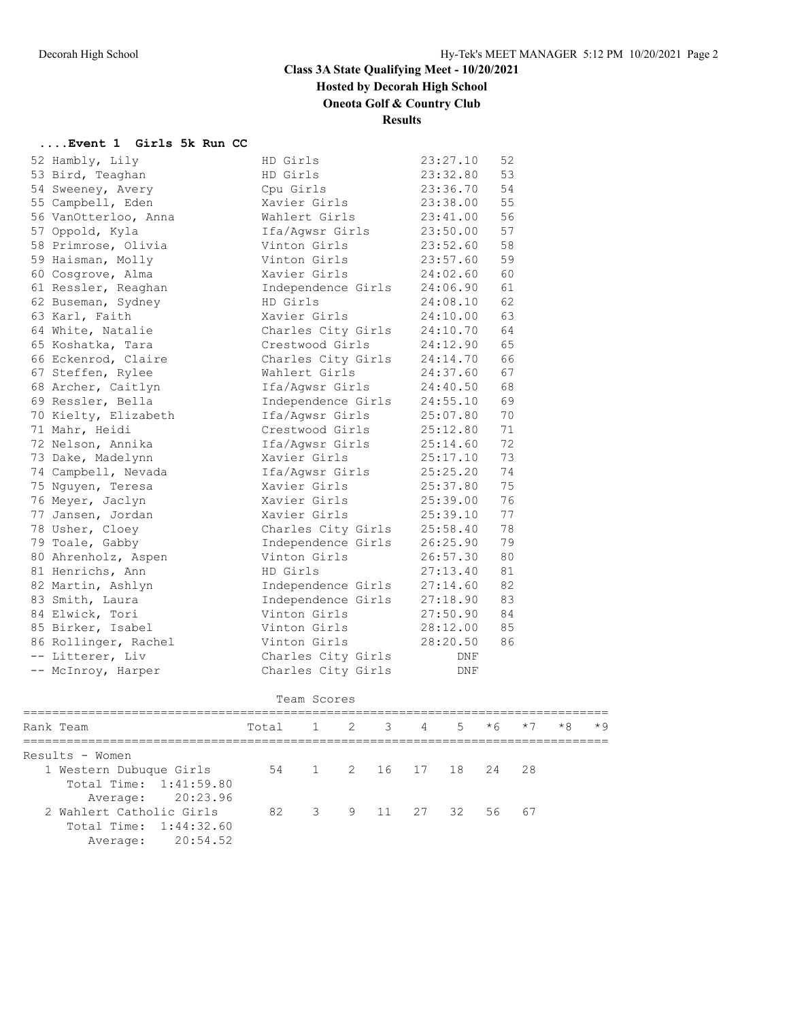## **Class 3A State Qualifying Meet - 10/20/2021 Hosted by Decorah High School**

# **Oneota Golf & Country Club**

**Results**

#### **....Event 1 Girls 5k Run CC**

| 52 Hambly, Lily      | HD Girls           | 23:27.10 | 52 |
|----------------------|--------------------|----------|----|
| 53 Bird, Teaghan     | HD Girls           | 23:32.80 | 53 |
| 54 Sweeney, Avery    | Cpu Girls          | 23:36.70 | 54 |
| 55 Campbell, Eden    | Xavier Girls       | 23:38.00 | 55 |
| 56 VanOtterloo, Anna | Wahlert Girls      | 23:41.00 | 56 |
| 57 Oppold, Kyla      | Ifa/Aqwsr Girls    | 23:50.00 | 57 |
| 58 Primrose, Olivia  | Vinton Girls       | 23:52.60 | 58 |
| 59 Haisman, Molly    | Vinton Girls       | 23:57.60 | 59 |
| 60 Cosgrove, Alma    | Xavier Girls       | 24:02.60 | 60 |
| 61 Ressler, Reaghan  | Independence Girls | 24:06.90 | 61 |
| 62 Buseman, Sydney   | HD Girls           | 24:08.10 | 62 |
| 63 Karl, Faith       | Xavier Girls       | 24:10.00 | 63 |
| 64 White, Natalie    | Charles City Girls | 24:10.70 | 64 |
| 65 Koshatka, Tara    | Crestwood Girls    | 24:12.90 | 65 |
| 66 Eckenrod, Claire  | Charles City Girls | 24:14.70 | 66 |
| 67 Steffen, Rylee    | Wahlert Girls      | 24:37.60 | 67 |
| 68 Archer, Caitlyn   | Ifa/Aqwsr Girls    | 24:40.50 | 68 |
| 69 Ressler, Bella    | Independence Girls | 24:55.10 | 69 |
| 70 Kielty, Elizabeth | Ifa/Aqwsr Girls    | 25:07.80 | 70 |
| 71 Mahr, Heidi       | Crestwood Girls    | 25:12.80 | 71 |
| 72 Nelson, Annika    | Ifa/Aqwsr Girls    | 25:14.60 | 72 |
| 73 Dake, Madelynn    | Xavier Girls       | 25:17.10 | 73 |
| 74 Campbell, Nevada  | Ifa/Aqwsr Girls    | 25:25.20 | 74 |
| 75 Nguyen, Teresa    | Xavier Girls       | 25:37.80 | 75 |
| 76 Meyer, Jaclyn     | Xavier Girls       | 25:39.00 | 76 |
| 77 Jansen, Jordan    | Xavier Girls       | 25:39.10 | 77 |
| 78 Usher, Cloey      | Charles City Girls | 25:58.40 | 78 |
| 79 Toale, Gabby      | Independence Girls | 26:25.90 | 79 |
| 80 Ahrenholz, Aspen  | Vinton Girls       | 26:57.30 | 80 |
| 81 Henrichs, Ann     | HD Girls           | 27:13.40 | 81 |
| 82 Martin, Ashlyn    | Independence Girls | 27:14.60 | 82 |
| 83 Smith, Laura      | Independence Girls | 27:18.90 | 83 |
| 84 Elwick, Tori      | Vinton Girls       | 27:50.90 | 84 |
| 85 Birker, Isabel    | Vinton Girls       | 28:12.00 | 85 |
| 86 Rollinger, Rachel | Vinton Girls       | 28:20.50 | 86 |
| -- Litterer, Liv     | Charles City Girls | DNF      |    |
| -- McInroy, Harper   | Charles City Girls | DNF      |    |

#### Team Scores

| Total 1 2 3 4 5 *6 *7<br>Rank Team                | $*8$<br>$*9$ |
|---------------------------------------------------|--------------|
|                                                   |              |
| Results - Women                                   |              |
| 54 1 2 16 17 18 24 28<br>1 Western Dubuque Girls  |              |
| Total Time: 1:41:59.80                            |              |
| Average: 20:23.96                                 |              |
| 82 3 9 11 27 32 56 67<br>2 Wahlert Catholic Girls |              |
| Total Time: 1:44:32.60                            |              |
| Average: 20:54.52                                 |              |